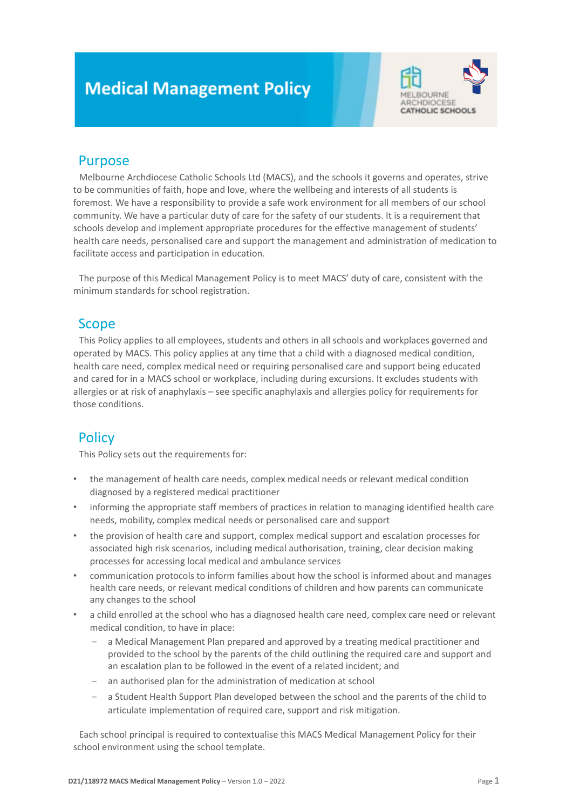# **Medical Management Policy**



# Purpose

Melbourne Archdiocese Catholic Schools Ltd (MACS), and the schools it governs and operates, strive to be communities of faith, hope and love, where the wellbeing and interests of all students is foremost. We have a responsibility to provide a safe work environment for all members of our school community. We have a particular duty of care for the safety of our students. It is a requirement that schools develop and implement appropriate procedures for the effective management of students' health care needs, personalised care and support the management and administration of medication to facilitate access and participation in education.

The purpose of this Medical Management Policy is to meet MACS' duty of care, consistent with the minimum standards for school registration.

# Scope

This Policy applies to all employees, students and others in all schools and workplaces governed and operated by MACS. This policy applies at any time that a child with a diagnosed medical condition, health care need, complex medical need or requiring personalised care and support being educated and cared for in a MACS school or workplace, including during excursions. It excludes students with allergies or at risk of anaphylaxis – see specific anaphylaxis and allergies policy for requirements for those conditions.

# **Policy**

This Policy sets out the requirements for:

- the management of health care needs, complex medical needs or relevant medical condition diagnosed by a registered medical practitioner
- informing the appropriate staff members of practices in relation to managing identified health care needs, mobility, complex medical needs or personalised care and support
- the provision of health care and support, complex medical support and escalation processes for associated high risk scenarios, including medical authorisation, training, clear decision making processes for accessing local medical and ambulance services
- communication protocols to inform families about how the school is informed about and manages health care needs, or relevant medical conditions of children and how parents can communicate any changes to the school
- a child enrolled at the school who has a diagnosed health care need, complex care need or relevant medical condition, to have in place:
	- a Medical Management Plan prepared and approved by a treating medical practitioner and provided to the school by the parents of the child outlining the required care and support and an escalation plan to be followed in the event of a related incident; and
	- an authorised plan for the administration of medication at school
	- a Student Health Support Plan developed between the school and the parents of the child to articulate implementation of required care, support and risk mitigation.

Each school principal is required to contextualise this MACS Medical Management Policy for their school environment using the school template.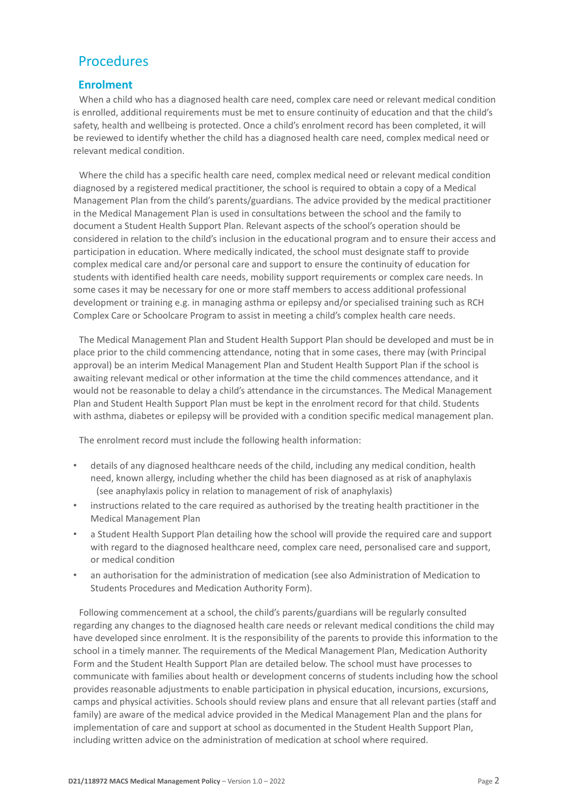# Procedures

#### **Enrolment**

When a child who has a diagnosed health care need, complex care need or relevant medical condition is enrolled, additional requirements must be met to ensure continuity of education and that the child's safety, health and wellbeing is protected. Once a child's enrolment record has been completed, it will be reviewed to identify whether the child has a diagnosed health care need, complex medical need or relevant medical condition.

Where the child has a specific health care need, complex medical need or relevant medical condition diagnosed by a registered medical practitioner, the school is required to obtain a copy of a Medical Management Plan from the child's parents/guardians. The advice provided by the medical practitioner in the Medical Management Plan is used in consultations between the school and the family to document a Student Health Support Plan. Relevant aspects of the school's operation should be considered in relation to the child's inclusion in the educational program and to ensure their access and participation in education. Where medically indicated, the school must designate staff to provide complex medical care and/or personal care and support to ensure the continuity of education for students with identified health care needs, mobility support requirements or complex care needs. In some cases it may be necessary for one or more staff members to access additional professional development or training e.g. in managing asthma or epilepsy and/or specialised training such as RCH Complex Care or Schoolcare Program to assist in meeting a child's complex health care needs.

The Medical Management Plan and Student Health Support Plan should be developed and must be in place prior to the child commencing attendance, noting that in some cases, there may (with Principal approval) be an interim Medical Management Plan and Student Health Support Plan if the school is awaiting relevant medical or other information at the time the child commences attendance, and it would not be reasonable to delay a child's attendance in the circumstances. The Medical Management Plan and Student Health Support Plan must be kept in the enrolment record for that child. Students with asthma, diabetes or epilepsy will be provided with a condition specific medical management plan.

The enrolment record must include the following health information:

- details of any diagnosed healthcare needs of the child, including any medical condition, health need, known allergy, including whether the child has been diagnosed as at risk of anaphylaxis (see anaphylaxis policy in relation to management of risk of anaphylaxis)
- instructions related to the care required as authorised by the treating health practitioner in the Medical Management Plan
- a Student Health Support Plan detailing how the school will provide the required care and support with regard to the diagnosed healthcare need, complex care need, personalised care and support, or medical condition
- an authorisation for the administration of medication (see also Administration of Medication to Students Procedures and Medication Authority Form).

Following commencement at a school, the child's parents/guardians will be regularly consulted regarding any changes to the diagnosed health care needs or relevant medical conditions the child may have developed since enrolment. It is the responsibility of the parents to provide this information to the school in a timely manner. The requirements of the Medical Management Plan, Medication Authority Form and the Student Health Support Plan are detailed below. The school must have processes to communicate with families about health or development concerns of students including how the school provides reasonable adjustments to enable participation in physical education, incursions, excursions, camps and physical activities. Schools should review plans and ensure that all relevant parties (staff and family) are aware of the medical advice provided in the Medical Management Plan and the plans for implementation of care and support at school as documented in the Student Health Support Plan, including written advice on the administration of medication at school where required.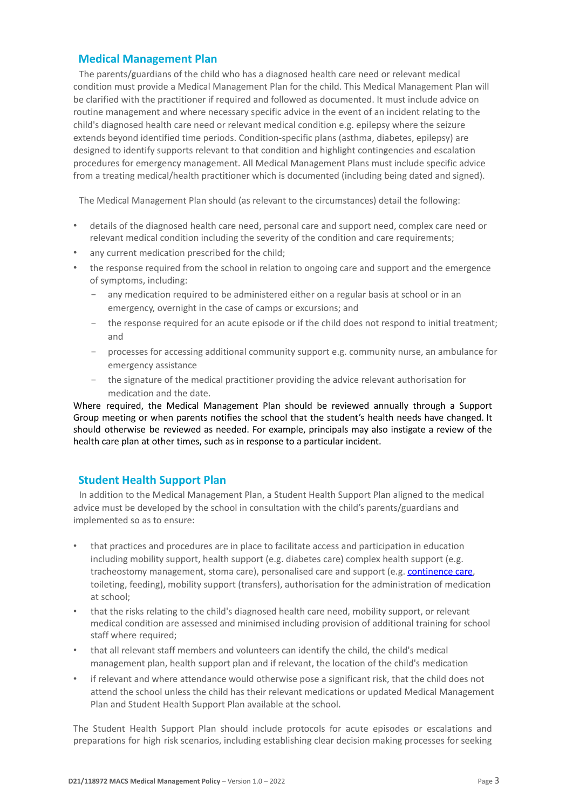#### **Medical Management Plan**

The parents/guardians of the child who has a diagnosed health care need or relevant medical condition must provide a Medical Management Plan for the child. This Medical Management Plan will be clarified with the practitioner if required and followed as documented. It must include advice on routine management and where necessary specific advice in the event of an incident relating to the child's diagnosed health care need or relevant medical condition e.g. epilepsy where the seizure extends beyond identified time periods. Condition-specific plans (asthma, diabetes, epilepsy) are designed to identify supports relevant to that condition and highlight contingencies and escalation procedures for emergency management. All Medical Management Plans must include specific advice from a treating medical/health practitioner which is documented (including being dated and signed).

The Medical Management Plan should (as relevant to the circumstances) detail the following:

- details of the diagnosed health care need, personal care and support need, complex care need or relevant medical condition including the severity of the condition and care requirements;
- any current medication prescribed for the child:
- the response required from the school in relation to ongoing care and support and the emergence of symptoms, including:
	- any medication required to be administered either on a regular basis at school or in an emergency, overnight in the case of camps or excursions; and
	- the response required for an acute episode or if the child does not respond to initial treatment; and
	- processes for accessing additional community support e.g. community nurse, an ambulance for emergency assistance
	- the signature of the medical practitioner providing the advice relevant authorisation for medication and the date.

Where required, the Medical Management Plan should be reviewed annually through a Support Group meeting or when parents notifies the school that the student's health needs have changed. It should otherwise be reviewed as needed. For example, principals may also instigate a review of the health care plan at other times, such as in response to a particular incident.

#### **Student Health Support Plan**

In addition to the Medical Management Plan, a Student Health Support Plan aligned to the medical advice must be developed by the school in consultation with the child's parents/guardians and implemented so as to ensure:

- that practices and procedures are in place to facilitate access and participation in education including mobility support, health support (e.g. diabetes care) complex health support (e.g. tracheostomy management, stoma care), personalised care and support (e.g. [continence care,](https://www2.education.vic.gov.au/pal/continence/resources) toileting, feeding), mobility support (transfers), authorisation for the administration of medication at school;
- that the risks relating to the child's diagnosed health care need, mobility support, or relevant medical condition are assessed and minimised including provision of additional training for school staff where required:
- that all relevant staff members and volunteers can identify the child, the child's medical management plan, health support plan and if relevant, the location of the child's medication
- if relevant and where attendance would otherwise pose a significant risk, that the child does not attend the school unless the child has their relevant medications or updated Medical Management Plan and Student Health Support Plan available at the school.

The Student Health Support Plan should include protocols for acute episodes or escalations and preparations for high risk scenarios, including establishing clear decision making processes for seeking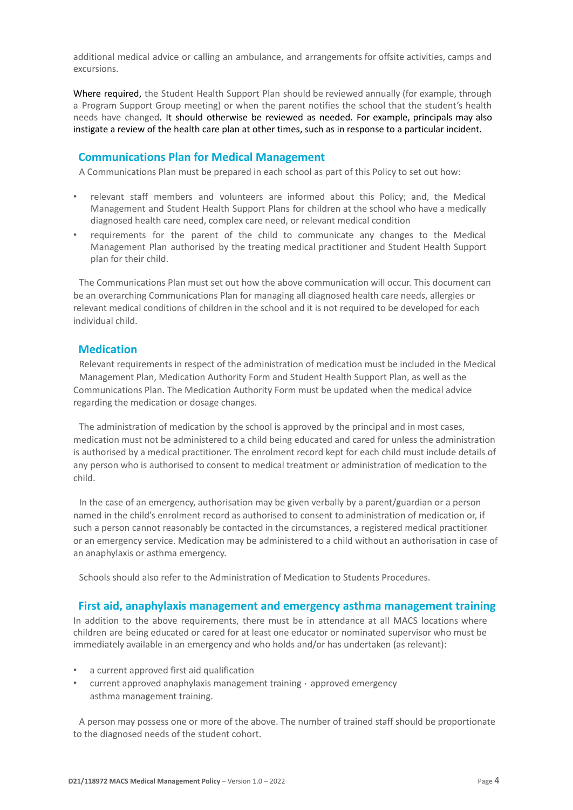additional medical advice or calling an ambulance, and arrangements for offsite activities, camps and excursions.

Where required, the Student Health Support Plan should be reviewed annually (for example, through a Program Support Group meeting) or when the parent notifies the school that the student's health needs have changed. It should otherwise be reviewed as needed. For example, principals may also instigate a review of the health care plan at other times, such as in response to a particular incident.

#### **Communications Plan for Medical Management**

A Communications Plan must be prepared in each school as part of this Policy to set out how:

- relevant staff members and volunteers are informed about this Policy; and, the Medical Management and Student Health Support Plans for children at the school who have a medically diagnosed health care need, complex care need, or relevant medical condition
- requirements for the parent of the child to communicate any changes to the Medical Management Plan authorised by the treating medical practitioner and Student Health Support plan for their child.

The Communications Plan must set out how the above communication will occur. This document can be an overarching Communications Plan for managing all diagnosed health care needs, allergies or relevant medical conditions of children in the school and it is not required to be developed for each individual child.

#### **Medication**

Relevant requirements in respect of the administration of medication must be included in the Medical Management Plan, Medication Authority Form and Student Health Support Plan, as well as the Communications Plan. The Medication Authority Form must be updated when the medical advice regarding the medication or dosage changes.

The administration of medication by the school is approved by the principal and in most cases, medication must not be administered to a child being educated and cared for unless the administration is authorised by a medical practitioner. The enrolment record kept for each child must include details of any person who is authorised to consent to medical treatment or administration of medication to the child.

In the case of an emergency, authorisation may be given verbally by a parent/guardian or a person named in the child's enrolment record as authorised to consent to administration of medication or, if such a person cannot reasonably be contacted in the circumstances, a registered medical practitioner or an emergency service. Medication may be administered to a child without an authorisation in case of an anaphylaxis or asthma emergency.

Schools should also refer to the Administration of Medication to Students Procedures.

#### **First aid, anaphylaxis management and emergency asthma management training**

In addition to the above requirements, there must be in attendance at all MACS locations where children are being educated or cared for at least one educator or nominated supervisor who must be immediately available in an emergency and who holds and/or has undertaken (as relevant):

- a current approved first aid qualification
- $current$  approved anaphylaxis management training  $\cdot$  approved emergency asthma management training.

A person may possess one or more of the above. The number of trained staff should be proportionate to the diagnosed needs of the student cohort.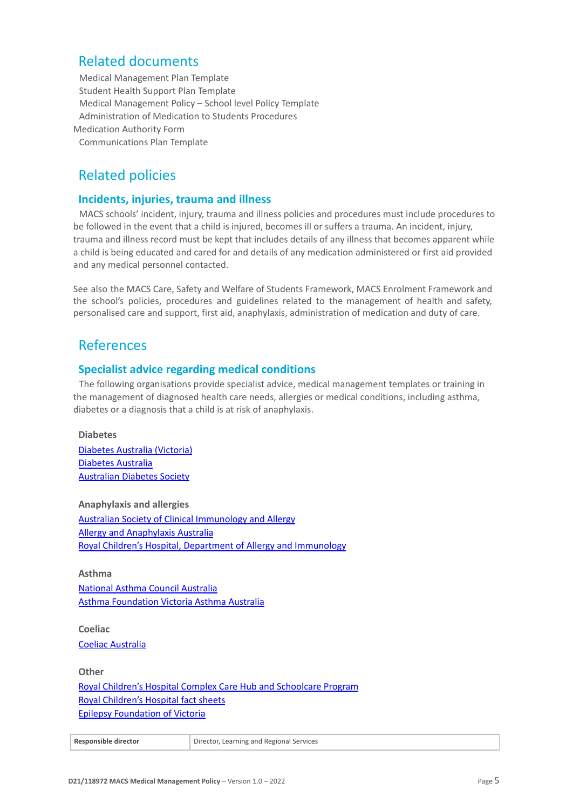### Related documents

Medical Management Plan Template Student Health Support Plan Template Medical Management Policy – School level Policy Template Administration of Medication to Students Procedures Medication Authority Form Communications Plan Template

# Related policies

#### **Incidents, injuries, trauma and illness**

MACS schools' incident, injury, trauma and illness policies and procedures must include procedures to be followed in the event that a child is injured, becomes ill or suffers a trauma. An incident, injury, trauma and illness record must be kept that includes details of any illness that becomes apparent while a child is being educated and cared for and details of any medication administered or first aid provided and any medical personnel contacted.

See also the MACS Care, Safety and Welfare of Students Framework, MACS Enrolment Framework and the school's policies, procedures and guidelines related to the management of health and safety, personalised care and support, first aid, anaphylaxis, administration of medication and duty of care.

### References

#### **Specialist advice regarding medical conditions**

The following organisations provide specialist advice, medical management templates or training in the management of diagnosed health care needs, allergies or medical conditions, including asthma, diabetes or a diagnosis that a child is at risk of anaphylaxis.

#### **Diabetes**

[Diabetes Australia \(Victoria\)](http://www.diabetesvic.org.au/) [Diabetes Australia](http://www.diabetesaustralia.com.au/) [Australian Diabetes Society](http://www.diabetessociety.com.au/)

**Anaphylaxis and allergies** [Australian Society of Clinical Immunology and Allergy](http://www.allergy.org.au/) [Allergy and Anaphylaxis Australia](https://allergyfacts.org.au/) [Royal Children's Hospital, Department of Allergy and Immunology](https://www.rch.org.au/allergy/)

**Asthma** [National Asthma Council Australia](http://www.nationalasthma.org.au/) [Asthma Foundation Victoria Asthma Australia](http://www.asthmafoundation.org.au/)

**Coeliac** [Coeliac Australia](https://www.coeliac.org.au/)

**Other**

[Royal Children's Hospital Complex Care Hub and Schoolcare Program](https://www.rch.org.au/complex-care-hub/services/) [Royal Children's Hospital fact sheets](http://www.rch.org.au/kidsinfo) [Epilepsy Foundation of Victoria](https://www.epilepsyfoundation.org.au/)